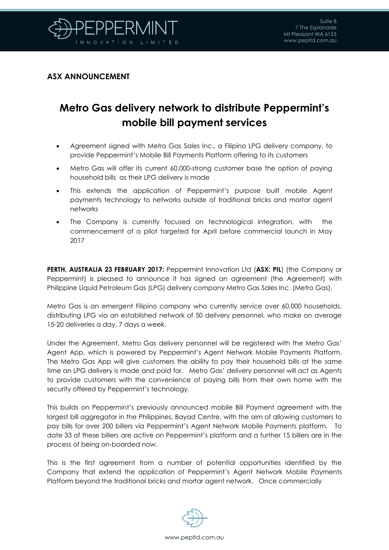

## **ASX ANNOUNCEMENT**

## **Metro Gas delivery network to distribute Peppermint's mobile bill payment services**

- Agreement signed with Metro Gas Sales Inc., a Filipino LPG delivery company, to provide Peppermint's Mobile Bill Payments Platform offering to its customers
- Metro Gas will offer its current 60,000-strong customer base the option of paying household bills as their LPG delivery is made
- This extends the application of Peppermint's purpose built mobile Agent payments technology to networks outside of traditional bricks and mortar agent networks
- The Company is currently focused on technological integration, with the commencement of a pilot targeted for April before commercial launch in May 2017

**PERTH, AUSTRALIA 23 FEBRUARY 2017:** Peppermint Innovation Ltd (**ASX: PIL**) (the Company or Peppermint) is pleased to announce it has signed an agreement (the Agreement) with Philippine Liquid Petroleum Gas (LPG) delivery company Metro Gas Sales Inc. (Metro Gas).

Metro Gas is an emergent Filipino company who currently service over 60,000 households, distributing LPG via an established network of 50 delivery personnel, who make on average 15-20 deliveries a day, 7 days a week.

Under the Agreement, Metro Gas delivery personnel will be registered with the Metro Gas' Agent App, which is powered by Peppermint's Agent Network Mobile Payments Platform. The Metro Gas App will give customers the ability to pay their household bills at the same time an LPG delivery is made and paid for. Metro Gas' delivery personnel will act as Agents to provide customers with the convenience of paying bills from their own home with the security offered by Peppermint's technology.

This builds on Peppermint's previously announced mobile Bill Payment agreement with the largest bill aggregator in the Philippines, Bayad Centre, with the aim of allowing customers to pay bills for over 200 billers via Peppermint's Agent Network Mobile Payments platform. To date 33 of these billers are active on Peppermint's platform and a further 15 billers are in the process of being on-boarded now.

This is the first agreement from a number of potential opportunities identified by the Company that extend the application of Peppermint's Agent Network Mobile Payments Platform beyond the traditional bricks and mortar agent network. Once commercially